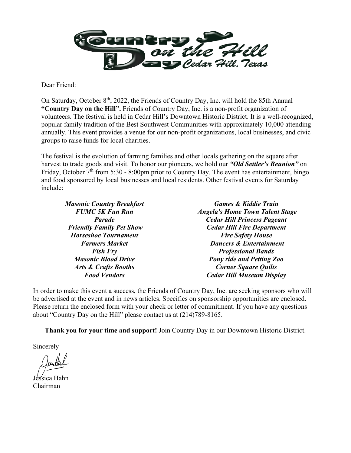

Dear Friend:

On Saturday, October 8<sup>th</sup>, 2022, the Friends of Country Day, Inc. will hold the 85th Annual **"Country Day on the Hill".** Friends of Country Day, Inc. is a non-profit organization of volunteers. The festival is held in Cedar Hill's Downtown Historic District. It is a well-recognized, popular family tradition of the Best Southwest Communities with approximately 10,000 attending annually. This event provides a venue for our non-profit organizations, local businesses, and civic groups to raise funds for local charities.

The festival is the evolution of farming families and other locals gathering on the square after harvest to trade goods and visit. To honor our pioneers, we hold our *"Old Settler's Reunion"* on Friday, October  $7<sup>th</sup>$  from 5:30 - 8:00pm prior to Country Day. The event has entertainment, bingo and food sponsored by local businesses and local residents. Other festival events for Saturday include:

*Masonic Country Breakfast FUMC 5K Fun Run Parade Friendly Family Pet Show Horseshoe Tournament Farmers Market Fish Fry Masonic Blood Drive Arts & Crafts Booths Food Vendors*

*Games & Kiddie Train Angela's Home Town Talent Stage Cedar Hill Princess Pageant Cedar Hill Fire Department Fire Safety House Dancers & Entertainment Professional Bands Pony ride and Petting Zoo Corner Square Quilts Cedar Hill Museum Display*

In order to make this event a success, the Friends of Country Day, Inc. are seeking sponsors who will be advertised at the event and in news articles. Specifics on sponsorship opportunities are enclosed. Please return the enclosed form with your check or letter of commitment. If you have any questions about "Country Day on the Hill" please contact us at (214)789-8165.

**Thank you for your time and support!** Join Country Day in our Downtown Historic District.

Sincerely

,<br>sica Hahn Chairman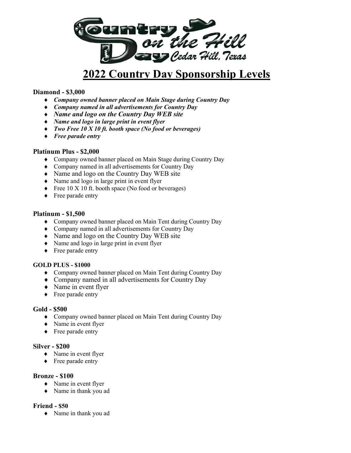

# **2022 Country Day Sponsorship Levels**

## **Diamond - \$3,000**

- ♦ *Company owned banner placed on Main Stage during Country Day*
- ♦ *Company named in all advertisements for Country Day*
- ♦ *Name and logo on the Country Day WEB site*
- ♦ *Name and logo in large print in event flyer*
- ♦ *Two Free 10 X 10 ft. booth space (No food or beverages)*
- ♦ *Free parade entry*

#### **Platinum Plus - \$2,000**

- ♦ Company owned banner placed on Main Stage during Country Day
- ♦ Company named in all advertisements for Country Day
- ♦ Name and logo on the Country Day WEB site
- ♦ Name and logo in large print in event flyer
- ♦ Free 10 X 10 ft. booth space (No food or beverages)
- ♦ Free parade entry

### **Platinum - \$1,500**

- ♦ Company owned banner placed on Main Tent during Country Day
- ♦ Company named in all advertisements for Country Day
- ♦ Name and logo on the Country Day WEB site
- ♦ Name and logo in large print in event flyer
- ♦ Free parade entry

#### **GOLD PLUS - \$1000**

- ♦ Company owned banner placed on Main Tent during Country Day
- ♦ Company named in all advertisements for Country Day
- ♦ Name in event flyer
- ♦ Free parade entry

#### **Gold - \$500**

- ♦ Company owned banner placed on Main Tent during Country Day
- ♦ Name in event flyer
- ♦ Free parade entry

#### **Silver - \$200**

- ♦ Name in event flyer
- ♦ Free parade entry

#### **Bronze - \$100**

- ♦ Name in event flyer
- ♦ Name in thank you ad

## **Friend - \$50**

♦ Name in thank you ad